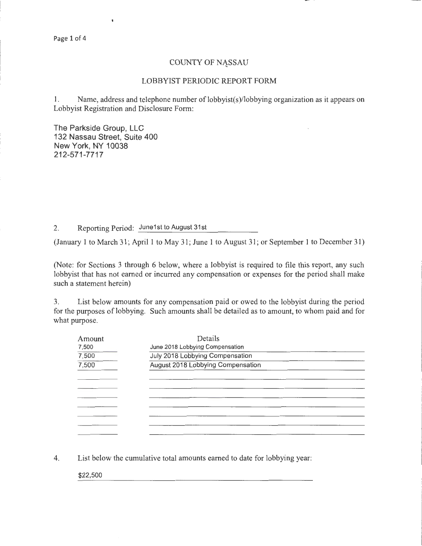## COUNTY OF NASSAU

## LOBBYIST PERIODIC REPORT FORM

1. Name, address and telephone number of lobbyist(s)/lobbying organization as it appears on Lobbyist Registration and Disclosure Form:

The Parkside Group, LLC 132 Nassau Street, Suite 400 New York, NY 10038 212-571-7717

 $\mathbf{I}$ 

2. Reporting Period: June1st to August 31st

(January 1 to March 31; April 1 to May 31; June 1 to August 31; or September 1 to December 31)

(Note: for Sections 3 through 6 below, where a lobbyist is required to file this report, any such lobbyist that has not earned or incurred any compensation or expenses for the period shall make such a statement herein)

3. List below amounts for any compensation paid or owed to the lobbyist during the period for the purposes of lobbying. Such amounts shall be detailed as to amount, to whom paid and for what purpose.

| Amount | Details                                                            |  |  |  |
|--------|--------------------------------------------------------------------|--|--|--|
| 7,500  | June 2018 Lobbying Compensation<br>July 2018 Lobbying Compensation |  |  |  |
| 7,500  |                                                                    |  |  |  |
| 7,500  | August 2018 Lobbying Compensation                                  |  |  |  |
|        |                                                                    |  |  |  |
|        |                                                                    |  |  |  |
|        |                                                                    |  |  |  |
|        |                                                                    |  |  |  |
|        |                                                                    |  |  |  |
|        |                                                                    |  |  |  |
|        |                                                                    |  |  |  |

4. List below the cumulative total amounts earned to date for lobbying year:

\$22,500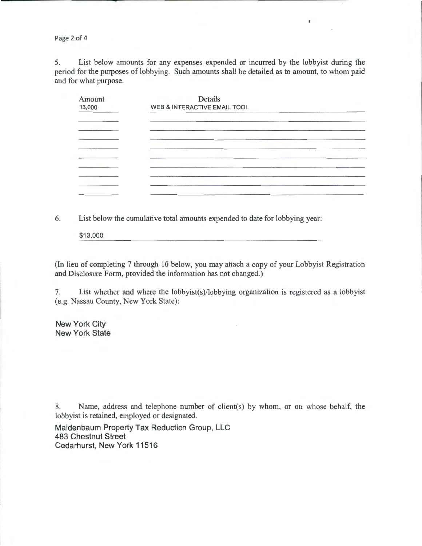Page 2 of 4

5. List below amounts for any expenses expended or incurred by the lobbyist during the period for the purposes of lobbying. Such amounts shall be detailed as to amount, to whom paid and for what purpose.

 $\pmb{r}$ 

| Amount<br>13,000 | Details<br>WEB & INTERACTIVE EMAIL TOOL |  |
|------------------|-----------------------------------------|--|
|                  |                                         |  |
|                  |                                         |  |
|                  |                                         |  |
|                  |                                         |  |
|                  |                                         |  |
|                  |                                         |  |
|                  |                                         |  |
|                  |                                         |  |

6. List below the cumulative total amounts expended to date for lobbying year:

\$13,000

(In lieu of completing 7 through 10 below, you may attach a copy of your Lobbyist Registration and Disclosure Form, provided the information has not changed.)

7. List whether and where the lobbyist(s)/lobbying organization is registered as a lobbyist (e.g. Nassau County, New York State):

New York City New York State

8. Name, address and telephone number of client(s) by whom, or on whose behalf, the lobbyist is retained, employed or designated.

Maidenbaum Property Tax Reduction Group, LLC 483 Chestnut Street Cedarhurst, New York 11516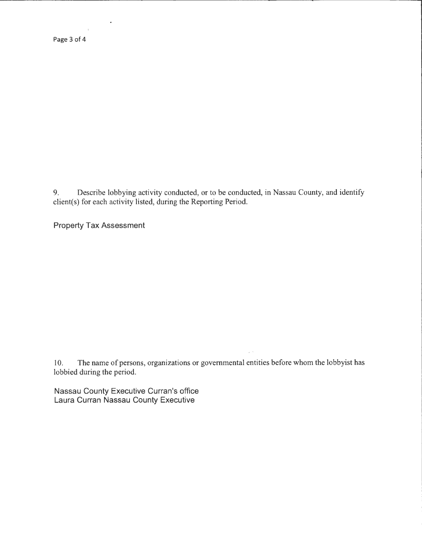9. Describe lobbying activity conducted, or to be conducted, in Nassau County, and identify client(s) for each activity listed, during the Reporting Period.

Property Tax Assessment

10. The name of persons, organizations or governmental entities before whom the lobbyist has lobbied during the period.

/ t

Nassau County Executive Curran's office Laura Curran Nassau County Executive

 $\bar{\mathbf{r}}$ 

 $\langle \rangle$